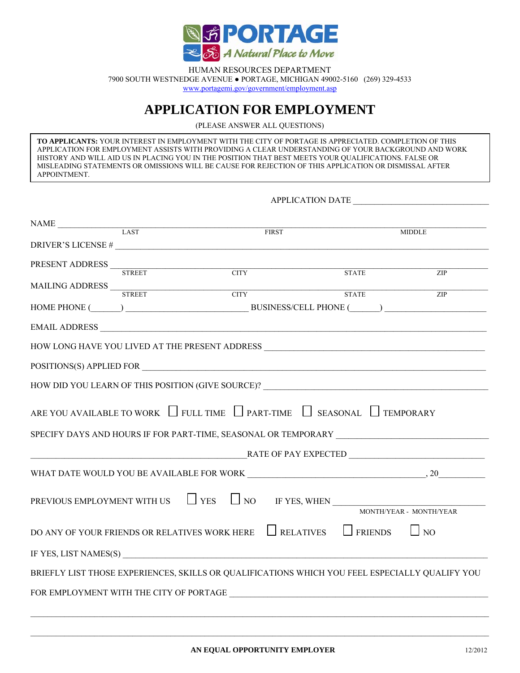

HUMAN RESOURCES DEPARTMENT 7900 SOUTH WESTNEDGE AVENUE ● PORTAGE, MICHIGAN 49002-5160 (269) 329-4533 [www.portagemi.gov/](http://www.portagemi.gov/Departments/EmployeeDevelopment/Employment.aspx)government/employment.asp

## **APPLICATION FOR EMPLOYMENT**

(PLEASE ANSWER ALL QUESTIONS)

**TO APPLICANTS:** YOUR INTEREST IN EMPLOYMENT WITH THE CITY OF PORTAGE IS APPRECIATED. COMPLETION OF THIS APPLICATION FOR EMPLOYMENT ASSISTS WITH PROVIDING A CLEAR UNDERSTANDING OF YOUR BACKGROUND AND WORK HISTORY AND WILL AID US IN PLACING YOU IN THE POSITION THAT BEST MEETS YOUR QUALIFICATIONS. FALSE OR MISLEADING STATEMENTS OR OMISSIONS WILL BE CAUSE FOR REJECTION OF THIS APPLICATION OR DISMISSAL AFTER APPOINTMENT.

APPLICATION DATE

| $\begin{tabular}{c} \multicolumn{2}{c }{\textbf{NAME}} \end{tabular}$ $\begin{tabular}{c} \multicolumn{2}{c }{\textbf{LAST}} \end{tabular}$                                                                                                                                                                                                                                                                                                         |  |              |              |                                                        |
|-----------------------------------------------------------------------------------------------------------------------------------------------------------------------------------------------------------------------------------------------------------------------------------------------------------------------------------------------------------------------------------------------------------------------------------------------------|--|--------------|--------------|--------------------------------------------------------|
|                                                                                                                                                                                                                                                                                                                                                                                                                                                     |  | <b>FIRST</b> |              | <b>MIDDLE</b>                                          |
|                                                                                                                                                                                                                                                                                                                                                                                                                                                     |  |              |              |                                                        |
| $\begin{tabular}{c} \bf PRESENT \ ADDRESS \\ \hline \multicolumn{3}{c}{\text{}} \\ \cline{2-2} \\ \cline{2-2} \\ \cline{2-2} \\ \cline{2-2} \\ \cline{2-2} \\ \cline{2-2} \\ \cline{2-2} \\ \cline{2-2} \\ \cline{2-2} \\ \cline{2-2} \\ \cline{2-2} \\ \cline{2-2} \\ \cline{2-2} \\ \cline{2-2} \\ \cline{2-2} \\ \cline{2-2} \\ \cline{2-2} \\ \cline{2-2} \\ \cline{2-2} \\ \cline{2-2} \\ \cline{2-2} \\ \cline{2-2} \\ \cline{2-2} \\ \cline$ |  |              | <b>STATE</b> | ZIP                                                    |
|                                                                                                                                                                                                                                                                                                                                                                                                                                                     |  |              |              |                                                        |
| $\frac{\text{MAILING ADDRESS}}{\text{STREE}} \qquad \qquad \text{CTTY}$                                                                                                                                                                                                                                                                                                                                                                             |  |              | <b>STATE</b> | ZIP                                                    |
|                                                                                                                                                                                                                                                                                                                                                                                                                                                     |  |              |              | HOME PHONE (CONSUMERS) RUSINESS/CELL PHONE (CONSUMERS) |
|                                                                                                                                                                                                                                                                                                                                                                                                                                                     |  |              |              |                                                        |
| HOW LONG HAVE YOU LIVED AT THE PRESENT ADDRESS __________________________________                                                                                                                                                                                                                                                                                                                                                                   |  |              |              |                                                        |
| POSITIONS(S) APPLIED FOR                                                                                                                                                                                                                                                                                                                                                                                                                            |  |              |              |                                                        |
| HOW DID YOU LEARN OF THIS POSITION (GIVE SOURCE)? _______________________________                                                                                                                                                                                                                                                                                                                                                                   |  |              |              |                                                        |
| ARE YOU AVAILABLE TO WORK $\Box$ FULL TIME $\Box$ PART-TIME $\Box$ SEASONAL $\Box$ TEMPORARY<br>SPECIFY DAYS AND HOURS IF FOR PART-TIME, SEASONAL OR TEMPORARY                                                                                                                                                                                                                                                                                      |  |              |              |                                                        |
|                                                                                                                                                                                                                                                                                                                                                                                                                                                     |  |              |              |                                                        |
|                                                                                                                                                                                                                                                                                                                                                                                                                                                     |  |              |              |                                                        |
| PREVIOUS EMPLOYMENT WITH US $\Box$ YES $\Box$ NO IF YES, WHEN MONTH/YEAR - MONTH/YEAR                                                                                                                                                                                                                                                                                                                                                               |  |              |              |                                                        |
| DO ANY OF YOUR FRIENDS OR RELATIVES WORK HERE $\Box$ RELATIVES $\Box$ FRIENDS                                                                                                                                                                                                                                                                                                                                                                       |  |              |              | $\Box$ NO                                              |
|                                                                                                                                                                                                                                                                                                                                                                                                                                                     |  |              |              |                                                        |
| BRIEFLY LIST THOSE EXPERIENCES, SKILLS OR QUALIFICATIONS WHICH YOU FEEL ESPECIALLY QUALIFY YOU                                                                                                                                                                                                                                                                                                                                                      |  |              |              |                                                        |
|                                                                                                                                                                                                                                                                                                                                                                                                                                                     |  |              |              |                                                        |
|                                                                                                                                                                                                                                                                                                                                                                                                                                                     |  |              |              |                                                        |

 $\mathcal{L}_\mathcal{L} = \{ \mathcal{L}_\mathcal{L} = \{ \mathcal{L}_\mathcal{L} = \{ \mathcal{L}_\mathcal{L} = \{ \mathcal{L}_\mathcal{L} = \{ \mathcal{L}_\mathcal{L} = \{ \mathcal{L}_\mathcal{L} = \{ \mathcal{L}_\mathcal{L} = \{ \mathcal{L}_\mathcal{L} = \{ \mathcal{L}_\mathcal{L} = \{ \mathcal{L}_\mathcal{L} = \{ \mathcal{L}_\mathcal{L} = \{ \mathcal{L}_\mathcal{L} = \{ \mathcal{L}_\mathcal{L} = \{ \mathcal{L}_\mathcal{$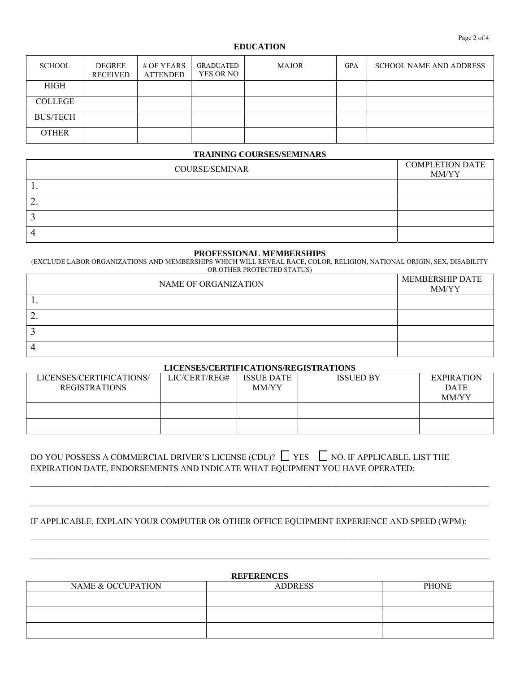#### **EDUCATION**

| <b>SCHOOL</b>   | DEGREE<br><b>RECEIVED</b> | # OF YEARS<br><b>ATTENDED</b> | GRADUATED<br>YES OR NO | <b>MAJOR</b> | <b>GPA</b> | <b>SCHOOL NAME AND ADDRESS</b> |
|-----------------|---------------------------|-------------------------------|------------------------|--------------|------------|--------------------------------|
| HIGH            |                           |                               |                        |              |            |                                |
| <b>COLLEGE</b>  |                           |                               |                        |              |            |                                |
| <b>BUS/TECH</b> |                           |                               |                        |              |            |                                |
| <b>OTHER</b>    |                           |                               |                        |              |            |                                |

#### **TRAINING COURSES/SEMINARS**

| <b>COURSE/SEMINAR</b> | <b>COMPLETION DATE</b><br>MM/YY |
|-----------------------|---------------------------------|
|                       |                                 |
| ∼.                    |                                 |
|                       |                                 |
|                       |                                 |

#### **PROFESSIONAL MEMBERSHIPS**

(EXCLUDE LABOR ORGANIZATIONS AND MEMBERSHIPS WHICH WILL REVEAL RACE, COLOR, RELIGION, NATIONAL ORIGIN, SEX, DISABILITY OR OTHER PROTECTED STATUS)

| NAME OF ORGANIZATION | MEMBERSHIP DATE<br>MM/YY |
|----------------------|--------------------------|
| . .                  |                          |
| <u>.</u>             |                          |
|                      |                          |
|                      |                          |

#### **LICENSES/CERTIFICATIONS/REGISTRATIONS**

| LICENSES/CERTIFICATIONS/ | LIC/CERT/REG# | <b>ISSUE DATE</b> | <b>ISSUED BY</b> | <b>EXPIRATION</b> |  |  |
|--------------------------|---------------|-------------------|------------------|-------------------|--|--|
| <b>REGISTRATIONS</b>     |               | MM/YY             |                  | <b>DATE</b>       |  |  |
|                          |               |                   |                  | MM/YY             |  |  |
|                          |               |                   |                  |                   |  |  |
|                          |               |                   |                  |                   |  |  |
|                          |               |                   |                  |                   |  |  |
|                          |               |                   |                  |                   |  |  |

 $\mathcal{L}_\text{max} = \mathcal{L}_\text{max} = \mathcal{L}_\text{max} = \mathcal{L}_\text{max} = \mathcal{L}_\text{max} = \mathcal{L}_\text{max} = \mathcal{L}_\text{max} = \mathcal{L}_\text{max} = \mathcal{L}_\text{max} = \mathcal{L}_\text{max} = \mathcal{L}_\text{max} = \mathcal{L}_\text{max} = \mathcal{L}_\text{max} = \mathcal{L}_\text{max} = \mathcal{L}_\text{max} = \mathcal{L}_\text{max} = \mathcal{L}_\text{max} = \mathcal{L}_\text{max} = \mathcal{$ 

### DO YOU POSSESS A COMMERCIAL DRIVER'S LICENSE (CDL)?  $\Box$  YES  $\Box$  NO. IF APPLICABLE, LIST THE EXPIRATION DATE, ENDORSEMENTS AND INDICATE WHAT EQUIPMENT YOU HAVE OPERATED:

#### IF APPLICABLE, EXPLAIN YOUR COMPUTER OR OTHER OFFICE EQUIPMENT EXPERIENCE AND SPEED (WPM):

| <b>REFERENCES</b> |                |              |  |  |  |
|-------------------|----------------|--------------|--|--|--|
| NAME & OCCUPATION | <b>ADDRESS</b> | <b>PHONE</b> |  |  |  |
|                   |                |              |  |  |  |
|                   |                |              |  |  |  |
|                   |                |              |  |  |  |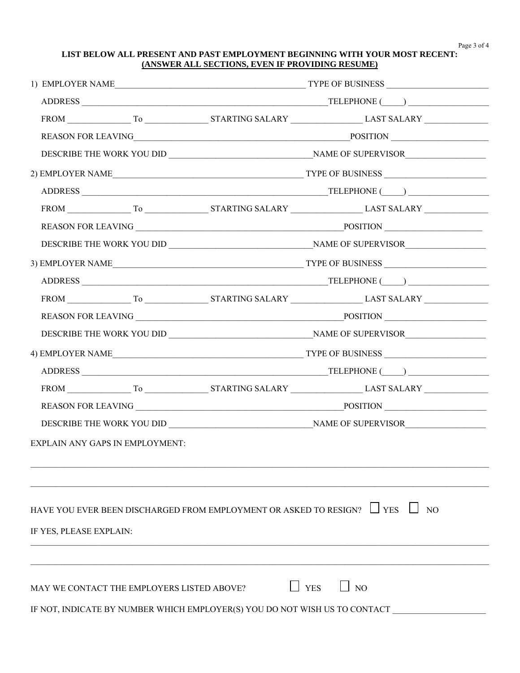Page 3 of 4

#### **LIST BELOW ALL PRESENT AND PAST EMPLOYMENT BEGINNING WITH YOUR MOST RECENT: (ANSWER ALL SECTIONS, EVEN IF PROVIDING RESUME)**

|                                            |  |                                                                              | 4) EMPLOYER NAME TYPE OF BUSINESS |
|--------------------------------------------|--|------------------------------------------------------------------------------|-----------------------------------|
|                                            |  |                                                                              |                                   |
|                                            |  |                                                                              |                                   |
|                                            |  |                                                                              |                                   |
|                                            |  |                                                                              |                                   |
| <b>EXPLAIN ANY GAPS IN EMPLOYMENT:</b>     |  |                                                                              |                                   |
|                                            |  |                                                                              |                                   |
|                                            |  | HAVE YOU EVER BEEN DISCHARGED FROM EMPLOYMENT OR ASKED TO RESIGN? $\Box$ YES | $\vert$ $\vert$ NO                |
| IF YES, PLEASE EXPLAIN:                    |  |                                                                              |                                   |
|                                            |  |                                                                              |                                   |
| MAY WE CONTACT THE EMPLOYERS LISTED ABOVE? |  |                                                                              | $\Box$ NO<br><b>YES</b>           |
|                                            |  | IF NOT, INDICATE BY NUMBER WHICH EMPLOYER(S) YOU DO NOT WISH US TO CONTACT   |                                   |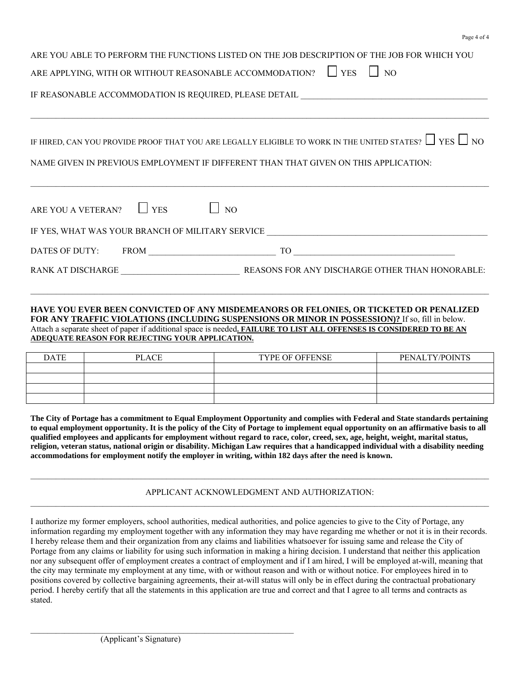| ARE YOU ABLE TO PERFORM THE FUNCTIONS LISTED ON THE JOB DESCRIPTION OF THE JOB FOR WHICH YOU<br>ARE APPLYING, WITH OR WITHOUT REASONABLE ACCOMMODATION? $\Box$ YES $\Box$ NO |                     |                                                                                                                                                                                                                                |  |  |  |  |
|------------------------------------------------------------------------------------------------------------------------------------------------------------------------------|---------------------|--------------------------------------------------------------------------------------------------------------------------------------------------------------------------------------------------------------------------------|--|--|--|--|
| IF REASONABLE ACCOMMODATION IS REQUIRED, PLEASE DETAIL _________________________                                                                                             |                     |                                                                                                                                                                                                                                |  |  |  |  |
|                                                                                                                                                                              |                     | IF HIRED, CAN YOU PROVIDE PROOF THAT YOU ARE LEGALLY ELIGIBLE TO WORK IN THE UNITED STATES? $\Box$ YES $\Box$ NO<br>NAME GIVEN IN PREVIOUS EMPLOYMENT IF DIFFERENT THAN THAT GIVEN ON THIS APPLICATION:                        |  |  |  |  |
|                                                                                                                                                                              |                     | <u> 1999 - Jan Barbara, Amerikaansk politiker (d. 1989)</u>                                                                                                                                                                    |  |  |  |  |
| ARE YOU A VETERAN? $\Box$ YES $\Box$ NO                                                                                                                                      |                     |                                                                                                                                                                                                                                |  |  |  |  |
|                                                                                                                                                                              |                     | IF YES, WHAT WAS YOUR BRANCH OF MILITARY SERVICE _______________________________                                                                                                                                               |  |  |  |  |
|                                                                                                                                                                              | DATES OF DUTY: FROM | TO THE STATE OF THE STATE OF THE STATE OF THE STATE OF THE STATE OF THE STATE OF THE STATE OF THE STATE OF THE STATE OF THE STATE OF THE STATE OF THE STATE OF THE STATE OF THE STATE OF THE STATE OF THE STATE OF THE STATE O |  |  |  |  |
| RANK AT DISCHARGE                                                                                                                                                            |                     | <b>REASONS FOR ANY DISCHARGE OTHER THAN HONORABLE:</b>                                                                                                                                                                         |  |  |  |  |

Page 4 of 4

#### **HAVE YOU EVER BEEN CONVICTED OF ANY MISDEMEANORS OR FELONIES, OR TICKETED OR PENALIZED FOR ANY TRAFFIC VIOLATIONS (INCLUDING SUSPENSIONS OR MINOR IN POSSESSION)?** If so, fill in below. Attach a separate sheet of paper if additional space is needed**. FAILURE TO LIST ALL OFFENSES IS CONSIDERED TO BE AN ADEQUATE REASON FOR REJECTING YOUR APPLICATION.**

 $\mathcal{L}_\mathcal{L} = \{ \mathcal{L}_\mathcal{L} = \{ \mathcal{L}_\mathcal{L} = \{ \mathcal{L}_\mathcal{L} = \{ \mathcal{L}_\mathcal{L} = \{ \mathcal{L}_\mathcal{L} = \{ \mathcal{L}_\mathcal{L} = \{ \mathcal{L}_\mathcal{L} = \{ \mathcal{L}_\mathcal{L} = \{ \mathcal{L}_\mathcal{L} = \{ \mathcal{L}_\mathcal{L} = \{ \mathcal{L}_\mathcal{L} = \{ \mathcal{L}_\mathcal{L} = \{ \mathcal{L}_\mathcal{L} = \{ \mathcal{L}_\mathcal{$ 

| <b>DATE</b> | <b>PLACE</b> | TYPE OF OFFENSE | PENALTY/POINTS |
|-------------|--------------|-----------------|----------------|
|             |              |                 |                |
|             |              |                 |                |
|             |              |                 |                |
|             |              |                 |                |

**The City of Portage has a commitment to Equal Employment Opportunity and complies with Federal and State standards pertaining to equal employment opportunity. It is the policy of the City of Portage to implement equal opportunity on an affirmative basis to all qualified employees and applicants for employment without regard to race, color, creed, sex, age, height, weight, marital status, religion, veteran status, national origin or disability. Michigan Law requires that a handicapped individual with a disability needing accommodations for employment notify the employer in writing, within 182 days after the need is known.** 

#### APPLICANT ACKNOWLEDGMENT AND AUTHORIZATION:  $\_$  , and the state of the state of the state of the state of the state of the state of the state of the state of the state of the state of the state of the state of the state of the state of the state of the state of the

 $\mathcal{L}_\text{max} = \frac{1}{2} \sum_{i=1}^n \mathcal{L}_\text{max} = \frac{1}{2} \sum_{i=1}^n \mathcal{L}_\text{max} = \frac{1}{2} \sum_{i=1}^n \mathcal{L}_\text{max} = \frac{1}{2} \sum_{i=1}^n \mathcal{L}_\text{max} = \frac{1}{2} \sum_{i=1}^n \mathcal{L}_\text{max} = \frac{1}{2} \sum_{i=1}^n \mathcal{L}_\text{max} = \frac{1}{2} \sum_{i=1}^n \mathcal{L}_\text{max} = \frac{1}{2} \sum_{i=$ 

I authorize my former employers, school authorities, medical authorities, and police agencies to give to the City of Portage, any information regarding my employment together with any information they may have regarding me whether or not it is in their records. I hereby release them and their organization from any claims and liabilities whatsoever for issuing same and release the City of Portage from any claims or liability for using such information in making a hiring decision. I understand that neither this application nor any subsequent offer of employment creates a contract of employment and if I am hired, I will be employed at-will, meaning that the city may terminate my employment at any time, with or without reason and with or without notice. For employees hired in to positions covered by collective bargaining agreements, their at-will status will only be in effect during the contractual probationary period. I hereby certify that all the statements in this application are true and correct and that I agree to all terms and contracts as stated.